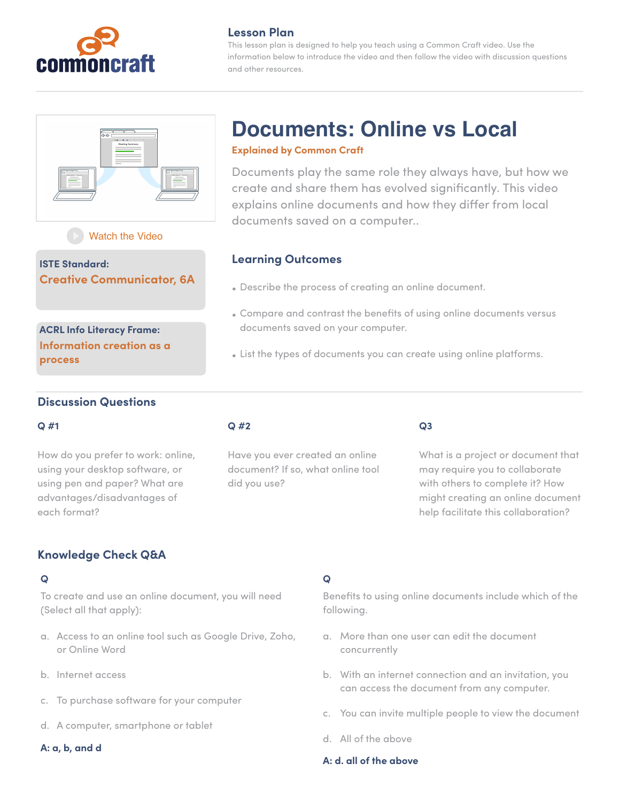

## **Lesson Plan**

This lesson plan is designed to help you teach using a Common Craft video. Use the information below to introduce the video and then follow the video with discussion questions and other resources.



**Documents: Online vs Local**

### **Explained by Common Craft**

Documents play the same role they always have, but how we create and share them has evolved significantly. This video explains online documents and how they differ from local documents saved on a computer..

# [Watch the Video](https://www.commoncraft.com/video/documents-online-vs-local)

**ISTE Standard: Creative Communicator, 6A**

**ACRL Info Literacy Frame: Information creation as a process**

## **Learning Outcomes**

- Describe the process of creating an online document.
- Compare and contrast the benefits of using online documents versus documents saved on your computer.
- List the types of documents you can create using online platforms.

### **Discussion Questions**

### **Q #1**

How do you prefer to work: online, using your desktop software, or using pen and paper? What are advantages/disadvantages of each format?

### **Q #2**

Have you ever created an online document? If so, what online tool did you use?

### **Q3**

What is a project or document that may require you to collaborate with others to complete it? How might creating an online document help facilitate this collaboration?

# **Knowledge Check Q&A**

### **Q**

To create and use an online document, you will need (Select all that apply):

- a. Access to an online tool such as Google Drive, Zoho, or Online Word
- b. Internet access
- c. To purchase software for your computer
- d. A computer, smartphone or tablet

### **A: a, b, and d**

### **Q**

Benefits to using online documents include which of the following.

- a. More than one user can edit the document concurrently
- b. With an internet connection and an invitation, you can access the document from any computer.
- c. You can invite multiple people to view the document
- d. All of the above

### **A: d. all of the above**